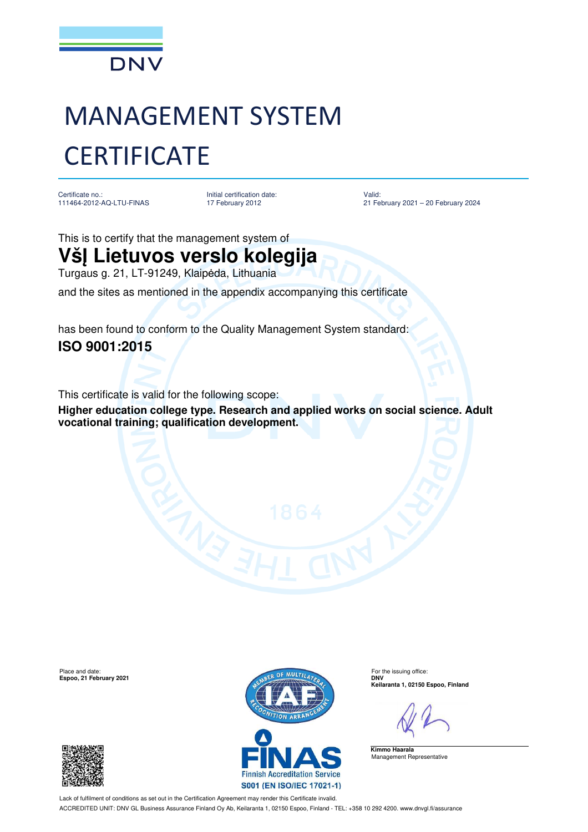

## MANAGEMENT SYSTEM **CERTIFICATE**

Certificate no.: 111464-2012-AQ-LTU-FINAS Initial certification date: 17 February 2012

Valid: 21 February 2021 – 20 February 2024

This is to certify that the management system of

## **VšĮ Lietuvos verslo kolegija**

Turgaus g. 21, LT-91249, Klaipėda, Lithuania

and the sites as mentioned in the appendix accompanying this certificate

has been found to conform to the Quality Management System standard: **ISO 9001:2015**

This certificate is valid for the following scope:

**Higher education college type. Research and applied works on social science. Adult vocational training; qualification development.**

**Espoo, 21 February 2021** 





**Keilaranta 1, 02150 Espoo, Finland**

**Kimmo Haarala** Management Representative

Lack of fulfilment of conditions as set out in the Certification Agreement may render this Certificate invalid. ACCREDITED UNIT: DNV GL Business Assurance Finland Oy Ab, Keilaranta 1, 02150 Espoo, Finland - TEL: +358 10 292 4200. www.dnvgl.fi/assurance